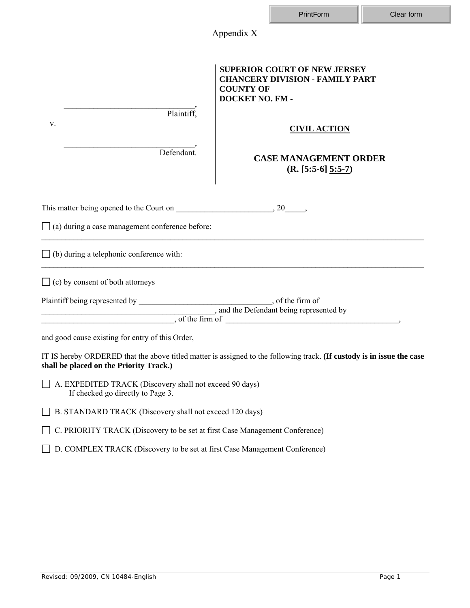|                                                                                              | Appendix X                                                                                                             |  |  |  |  |
|----------------------------------------------------------------------------------------------|------------------------------------------------------------------------------------------------------------------------|--|--|--|--|
| Plaintiff,                                                                                   | <b>SUPERIOR COURT OF NEW JERSEY</b><br><b>CHANCERY DIVISION - FAMILY PART</b><br><b>COUNTY OF</b><br>DOCKET NO. FM -   |  |  |  |  |
| V.                                                                                           | <b>CIVIL ACTION</b>                                                                                                    |  |  |  |  |
| Defendant.                                                                                   | <b>CASE MANAGEMENT ORDER</b><br>$(R. [5:5-6] 5:5-7)$                                                                   |  |  |  |  |
|                                                                                              |                                                                                                                        |  |  |  |  |
| $\Box$ (a) during a case management conference before:                                       |                                                                                                                        |  |  |  |  |
| $\Box$ (b) during a telephonic conference with:                                              |                                                                                                                        |  |  |  |  |
| $\Box$ (c) by consent of both attorneys                                                      |                                                                                                                        |  |  |  |  |
|                                                                                              |                                                                                                                        |  |  |  |  |
| and the Defendant being represented by                                                       | $\sim$ , of the firm of                                                                                                |  |  |  |  |
| and good cause existing for entry of this Order,                                             |                                                                                                                        |  |  |  |  |
| shall be placed on the Priority Track.)                                                      | IT IS hereby ORDERED that the above titled matter is assigned to the following track. (If custody is in issue the case |  |  |  |  |
| A. EXPEDITED TRACK (Discovery shall not exceed 90 days)<br>If checked go directly to Page 3. |                                                                                                                        |  |  |  |  |
| B. STANDARD TRACK (Discovery shall not exceed 120 days)                                      |                                                                                                                        |  |  |  |  |
| C. PRIORITY TRACK (Discovery to be set at first Case Management Conference)                  |                                                                                                                        |  |  |  |  |
| D. COMPLEX TRACK (Discovery to be set at first Case Management Conference)                   |                                                                                                                        |  |  |  |  |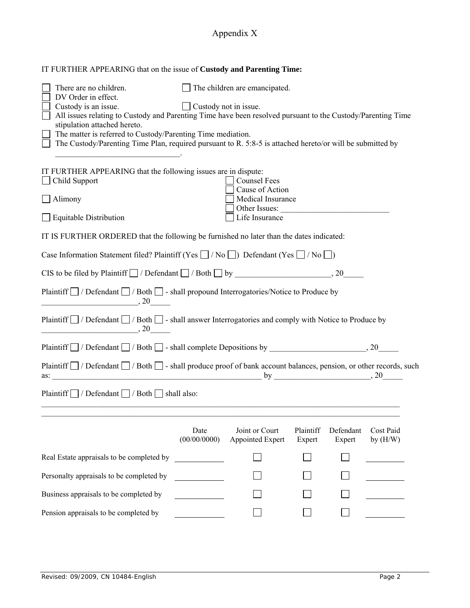## Appendix X

| IT FURTHER APPEARING that on the issue of Custody and Parenting Time:                                                                         |                      |                                                                                                |                     |                     |                         |  |  |  |  |  |
|-----------------------------------------------------------------------------------------------------------------------------------------------|----------------------|------------------------------------------------------------------------------------------------|---------------------|---------------------|-------------------------|--|--|--|--|--|
| $\Box$ The children are emancipated.<br>There are no children.<br>DV Order in effect.<br>Custody is an issue.<br>$\Box$ Custody not in issue. |                      |                                                                                                |                     |                     |                         |  |  |  |  |  |
| All issues relating to Custody and Parenting Time have been resolved pursuant to the Custody/Parenting Time                                   |                      |                                                                                                |                     |                     |                         |  |  |  |  |  |
| stipulation attached hereto.<br>The matter is referred to Custody/Parenting Time mediation.                                                   |                      |                                                                                                |                     |                     |                         |  |  |  |  |  |
| The Custody/Parenting Time Plan, required pursuant to R. 5:8-5 is attached hereto/or will be submitted by                                     |                      |                                                                                                |                     |                     |                         |  |  |  |  |  |
| IT FURTHER APPEARING that the following issues are in dispute:<br>$\Box$ Child Support<br>$\Box$ Alimony<br>$\Box$ Equitable Distribution     |                      | Counsel Fees<br>Cause of Action<br>Medical Insurance<br>$\Box$ Other Issues:<br>Life Insurance |                     |                     |                         |  |  |  |  |  |
| IT IS FURTHER ORDERED that the following be furnished no later than the dates indicated:                                                      |                      |                                                                                                |                     |                     |                         |  |  |  |  |  |
| Case Information Statement filed? Plaintiff (Yes $\Box$ / No $\Box$ ) Defendant (Yes $\Box$ / No $\Box$ )                                     |                      |                                                                                                |                     |                     |                         |  |  |  |  |  |
|                                                                                                                                               |                      |                                                                                                |                     |                     |                         |  |  |  |  |  |
| Plaintiff □ / Defendant □ / Both □ - shall propound Interrogatories/Notice to Produce by<br>$\sim$ $20$ $\sim$                                |                      |                                                                                                |                     |                     |                         |  |  |  |  |  |
| Plaintiff $\Box$ / Defendant $\Box$ / Both $\Box$ - shall answer Interrogatories and comply with Notice to Produce by<br>$\sim$ 20 $\sim$     |                      |                                                                                                |                     |                     |                         |  |  |  |  |  |
|                                                                                                                                               |                      |                                                                                                |                     |                     |                         |  |  |  |  |  |
| Plaintiff $\Box$ / Defendant $\Box$ / Both $\Box$ - shall produce proof of bank account balances, pension, or other records, such             |                      |                                                                                                |                     |                     |                         |  |  |  |  |  |
| Plaintiff $\Box$ / Defendant $\Box$ / Both $\Box$ shall also:                                                                                 |                      |                                                                                                |                     |                     |                         |  |  |  |  |  |
|                                                                                                                                               | Date<br>(00/00/0000) | Joint or Court<br>Appointed Expert                                                             | Plaintiff<br>Expert | Defendant<br>Expert | Cost Paid<br>by $(H/W)$ |  |  |  |  |  |
| Real Estate appraisals to be completed by                                                                                                     |                      |                                                                                                |                     |                     |                         |  |  |  |  |  |
| Personalty appraisals to be completed by                                                                                                      |                      |                                                                                                |                     |                     |                         |  |  |  |  |  |
| Business appraisals to be completed by                                                                                                        |                      |                                                                                                |                     |                     |                         |  |  |  |  |  |
| Pension appraisals to be completed by                                                                                                         |                      |                                                                                                |                     |                     |                         |  |  |  |  |  |
|                                                                                                                                               |                      |                                                                                                |                     |                     |                         |  |  |  |  |  |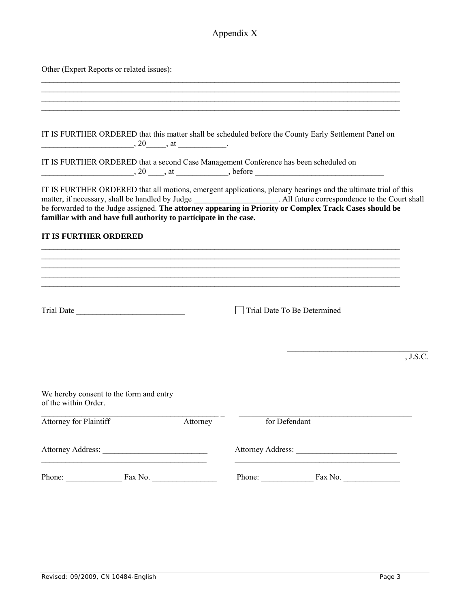## Appendix X

Other (Expert Reports or related issues):

|                                                                                      | IT IS FURTHER ORDERED that this matter shall be scheduled before the County Early Settlement Panel on                                                                                                                                                                                                                                      |
|--------------------------------------------------------------------------------------|--------------------------------------------------------------------------------------------------------------------------------------------------------------------------------------------------------------------------------------------------------------------------------------------------------------------------------------------|
| IT IS FURTHER ORDERED that a second Case Management Conference has been scheduled on | $\frac{1}{20}$ , 20 $\frac{1}{20}$ , at $\frac{1}{20}$ , before                                                                                                                                                                                                                                                                            |
| familiar with and have full authority to participate in the case.                    | IT IS FURTHER ORDERED that all motions, emergent applications, plenary hearings and the ultimate trial of this<br>matter, if necessary, shall be handled by Judge _______________. All future correspondence to the Court shall<br>be forwarded to the Judge assigned. The attorney appearing in Priority or Complex Track Cases should be |
| <b>IT IS FURTHER ORDERED</b>                                                         |                                                                                                                                                                                                                                                                                                                                            |
|                                                                                      |                                                                                                                                                                                                                                                                                                                                            |
|                                                                                      |                                                                                                                                                                                                                                                                                                                                            |
| Trial Date and Trial Date                                                            | Trial Date To Be Determined                                                                                                                                                                                                                                                                                                                |
|                                                                                      | J.S.C.                                                                                                                                                                                                                                                                                                                                     |
|                                                                                      |                                                                                                                                                                                                                                                                                                                                            |
| We hereby consent to the form and entry<br>of the within Order.                      |                                                                                                                                                                                                                                                                                                                                            |
| Attorney for Plaintiff<br>Attorney                                                   | for Defendant                                                                                                                                                                                                                                                                                                                              |
| Attorney Address:                                                                    | Attorney Address: No. 1996. Attorney Address:                                                                                                                                                                                                                                                                                              |
| Phone: Fax No.                                                                       | Phone: Fax No.                                                                                                                                                                                                                                                                                                                             |